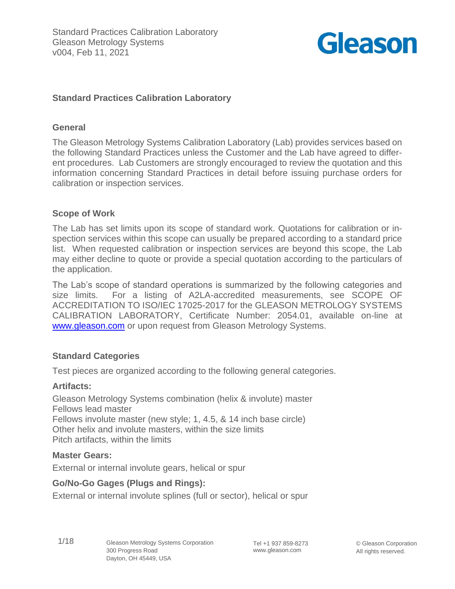

## **Standard Practices Calibration Laboratory**

### **General**

The Gleason Metrology Systems Calibration Laboratory (Lab) provides services based on the following Standard Practices unless the Customer and the Lab have agreed to different procedures. Lab Customers are strongly encouraged to review the quotation and this information concerning Standard Practices in detail before issuing purchase orders for calibration or inspection services.

### **Scope of Work**

The Lab has set limits upon its scope of standard work. Quotations for calibration or inspection services within this scope can usually be prepared according to a standard price list. When requested calibration or inspection services are beyond this scope, the Lab may either decline to quote or provide a special quotation according to the particulars of the application.

The Lab's scope of standard operations is summarized by the following categories and size limits. For a listing of A2LA-accredited measurements, see SCOPE OF ACCREDITATION TO ISO/IEC 17025-2017 for the GLEASON METROLOGY SYSTEMS CALIBRATION LABORATORY, Certificate Number: 2054.01, available on-line at [www.gleason.com](http://www.gleason.com/) or upon request from Gleason Metrology Systems.

### **Standard Categories**

Test pieces are organized according to the following general categories.

### **Artifacts:**

Gleason Metrology Systems combination (helix & involute) master Fellows lead master Fellows involute master (new style; 1, 4.5, & 14 inch base circle) Other helix and involute masters, within the size limits Pitch artifacts, within the limits

#### **Master Gears:**

External or internal involute gears, helical or spur

### **Go/No-Go Gages (Plugs and Rings):**

External or internal involute splines (full or sector), helical or spur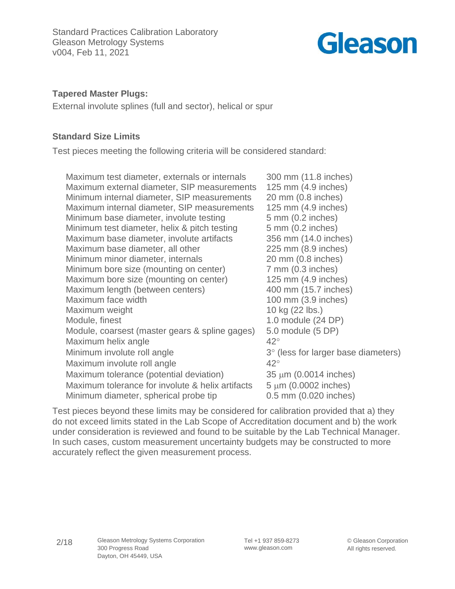

## **Tapered Master Plugs:**

External involute splines (full and sector), helical or spur

## **Standard Size Limits**

Test pieces meeting the following criteria will be considered standard:

| Maximum test diameter, externals or internals    | 300 mm (11.8 inches)                |
|--------------------------------------------------|-------------------------------------|
| Maximum external diameter, SIP measurements      | 125 mm (4.9 inches)                 |
| Minimum internal diameter, SIP measurements      | 20 mm (0.8 inches)                  |
| Maximum internal diameter, SIP measurements      | 125 mm (4.9 inches)                 |
| Minimum base diameter, involute testing          | $5 \text{ mm}$ (0.2 inches)         |
| Minimum test diameter, helix & pitch testing     | $5 \text{ mm}$ (0.2 inches)         |
| Maximum base diameter, involute artifacts        | 356 mm (14.0 inches)                |
| Maximum base diameter, all other                 | 225 mm (8.9 inches)                 |
| Minimum minor diameter, internals                | 20 mm (0.8 inches)                  |
| Minimum bore size (mounting on center)           | $7$ mm $(0.3$ inches)               |
| Maximum bore size (mounting on center)           | 125 mm (4.9 inches)                 |
| Maximum length (between centers)                 | 400 mm (15.7 inches)                |
| Maximum face width                               | 100 mm (3.9 inches)                 |
| Maximum weight                                   | 10 kg (22 lbs.)                     |
| Module, finest                                   | 1.0 module (24 DP)                  |
| Module, coarsest (master gears & spline gages)   | 5.0 module (5 DP)                   |
| Maximum helix angle                              | $42^{\circ}$                        |
| Minimum involute roll angle                      | 3° (less for larger base diameters) |
| Maximum involute roll angle                      | $42^{\circ}$                        |
| Maximum tolerance (potential deviation)          | $35 \mu m$ (0.0014 inches)          |
| Maximum tolerance for involute & helix artifacts | $5 \mu m$ (0.0002 inches)           |
| Minimum diameter, spherical probe tip            | 0.5 mm (0.020 inches)               |

Test pieces beyond these limits may be considered for calibration provided that a) they do not exceed limits stated in the Lab Scope of Accreditation document and b) the work under consideration is reviewed and found to be suitable by the Lab Technical Manager. In such cases, custom measurement uncertainty budgets may be constructed to more accurately reflect the given measurement process.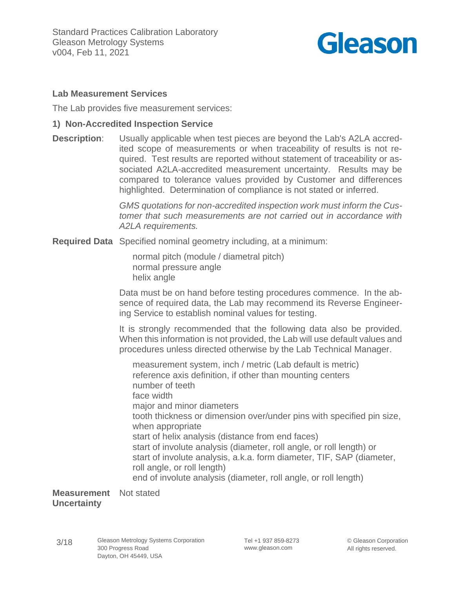

## **Lab Measurement Services**

The Lab provides five measurement services:

### **1) Non-Accredited Inspection Service**

**Description**: Usually applicable when test pieces are beyond the Lab's A2LA accredited scope of measurements or when traceability of results is not required. Test results are reported without statement of traceability or associated A2LA-accredited measurement uncertainty. Results may be compared to tolerance values provided by Customer and differences highlighted. Determination of compliance is not stated or inferred.

> *GMS quotations for non-accredited inspection work must inform the Customer that such measurements are not carried out in accordance with A2LA requirements.*

**Required Data** Specified nominal geometry including, at a minimum:

normal pitch (module / diametral pitch) normal pressure angle helix angle

Data must be on hand before testing procedures commence. In the absence of required data, the Lab may recommend its Reverse Engineering Service to establish nominal values for testing.

It is strongly recommended that the following data also be provided. When this information is not provided, the Lab will use default values and procedures unless directed otherwise by the Lab Technical Manager.

measurement system, inch / metric (Lab default is metric) reference axis definition, if other than mounting centers number of teeth face width major and minor diameters tooth thickness or dimension over/under pins with specified pin size, when appropriate start of helix analysis (distance from end faces) start of involute analysis (diameter, roll angle, or roll length) or start of involute analysis, a.k.a. form diameter, TIF, SAP (diameter, roll angle, or roll length) end of involute analysis (diameter, roll angle, or roll length)

**Measurement** Not stated **Uncertainty**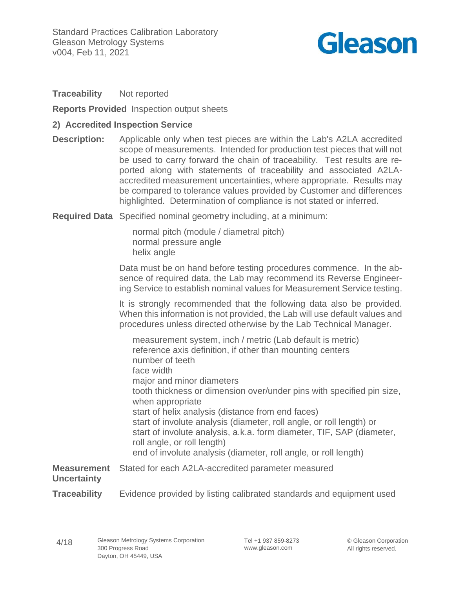

### **Traceability** Not reported

**Reports Provided** Inspection output sheets

### **2) Accredited Inspection Service**

**Description:** Applicable only when test pieces are within the Lab's A2LA accredited scope of measurements. Intended for production test pieces that will not be used to carry forward the chain of traceability. Test results are reported along with statements of traceability and associated A2LAaccredited measurement uncertainties, where appropriate. Results may be compared to tolerance values provided by Customer and differences highlighted. Determination of compliance is not stated or inferred.

**Required Data** Specified nominal geometry including, at a minimum:

normal pitch (module / diametral pitch) normal pressure angle helix angle

Data must be on hand before testing procedures commence. In the absence of required data, the Lab may recommend its Reverse Engineering Service to establish nominal values for Measurement Service testing.

It is strongly recommended that the following data also be provided. When this information is not provided, the Lab will use default values and procedures unless directed otherwise by the Lab Technical Manager.

measurement system, inch / metric (Lab default is metric) reference axis definition, if other than mounting centers number of teeth face width major and minor diameters tooth thickness or dimension over/under pins with specified pin size, when appropriate start of helix analysis (distance from end faces) start of involute analysis (diameter, roll angle, or roll length) or start of involute analysis, a.k.a. form diameter, TIF, SAP (diameter, roll angle, or roll length) end of involute analysis (diameter, roll angle, or roll length)

**Measurement** Stated for each A2LA-accredited parameter measured **Uncertainty Traceability** Evidence provided by listing calibrated standards and equipment used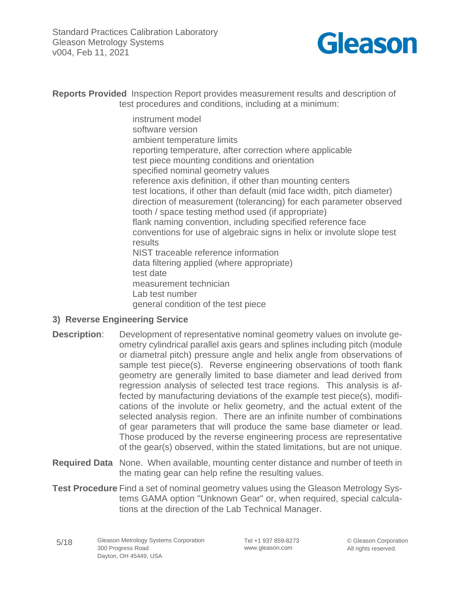Standard Practices Calibration Laboratory Gleason Metrology Systems v004, Feb 11, 2021



**Reports Provided** Inspection Report provides measurement results and description of test procedures and conditions, including at a minimum:

> instrument model software version ambient temperature limits reporting temperature, after correction where applicable test piece mounting conditions and orientation specified nominal geometry values reference axis definition, if other than mounting centers test locations, if other than default (mid face width, pitch diameter) direction of measurement (tolerancing) for each parameter observed tooth / space testing method used (if appropriate) flank naming convention, including specified reference face conventions for use of algebraic signs in helix or involute slope test results NIST traceable reference information data filtering applied (where appropriate) test date measurement technician Lab test number general condition of the test piece

- **3) Reverse Engineering Service**
- **Description**: Development of representative nominal geometry values on involute geometry cylindrical parallel axis gears and splines including pitch (module or diametral pitch) pressure angle and helix angle from observations of sample test piece(s). Reverse engineering observations of tooth flank geometry are generally limited to base diameter and lead derived from regression analysis of selected test trace regions. This analysis is affected by manufacturing deviations of the example test piece(s), modifications of the involute or helix geometry, and the actual extent of the selected analysis region. There are an infinite number of combinations of gear parameters that will produce the same base diameter or lead. Those produced by the reverse engineering process are representative of the gear(s) observed, within the stated limitations, but are not unique.
- **Required Data** None. When available, mounting center distance and number of teeth in the mating gear can help refine the resulting values.
- **Test Procedure** Find a set of nominal geometry values using the Gleason Metrology Systems GAMA option "Unknown Gear" or, when required, special calculations at the direction of the Lab Technical Manager.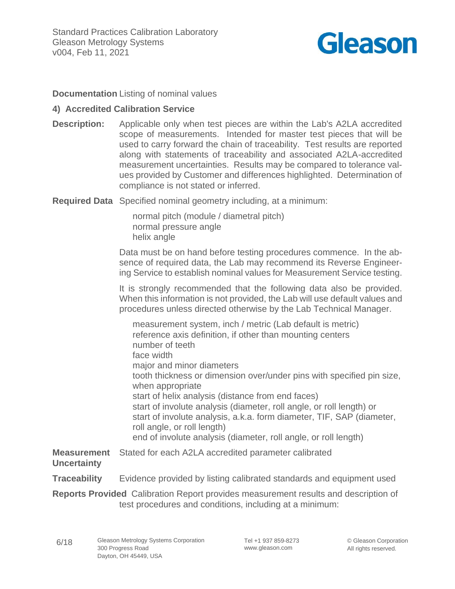

**Documentation** Listing of nominal values

## **4) Accredited Calibration Service**

**Description:** Applicable only when test pieces are within the Lab's A2LA accredited scope of measurements. Intended for master test pieces that will be used to carry forward the chain of traceability. Test results are reported along with statements of traceability and associated A2LA-accredited measurement uncertainties. Results may be compared to tolerance values provided by Customer and differences highlighted. Determination of compliance is not stated or inferred.

**Required Data** Specified nominal geometry including, at a minimum:

normal pitch (module / diametral pitch) normal pressure angle helix angle

Data must be on hand before testing procedures commence. In the absence of required data, the Lab may recommend its Reverse Engineering Service to establish nominal values for Measurement Service testing.

It is strongly recommended that the following data also be provided. When this information is not provided, the Lab will use default values and procedures unless directed otherwise by the Lab Technical Manager.

measurement system, inch / metric (Lab default is metric) reference axis definition, if other than mounting centers number of teeth face width major and minor diameters tooth thickness or dimension over/under pins with specified pin size, when appropriate start of helix analysis (distance from end faces) start of involute analysis (diameter, roll angle, or roll length) or start of involute analysis, a.k.a. form diameter, TIF, SAP (diameter, roll angle, or roll length) end of involute analysis (diameter, roll angle, or roll length)

**Measurement** Stated for each A2LA accredited parameter calibrated **Uncertainty**

**Traceability** Evidence provided by listing calibrated standards and equipment used

**Reports Provided** Calibration Report provides measurement results and description of test procedures and conditions, including at a minimum: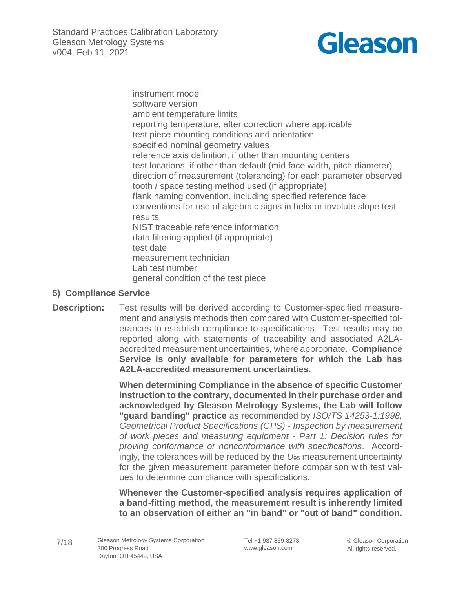Standard Practices Calibration Laboratory Gleason Metrology Systems v004, Feb 11, 2021



instrument model software version ambient temperature limits reporting temperature, after correction where applicable test piece mounting conditions and orientation specified nominal geometry values reference axis definition, if other than mounting centers test locations, if other than default (mid face width, pitch diameter) direction of measurement (tolerancing) for each parameter observed tooth / space testing method used (if appropriate) flank naming convention, including specified reference face conventions for use of algebraic signs in helix or involute slope test results NIST traceable reference information data filtering applied (if appropriate) test date measurement technician Lab test number general condition of the test piece

### **5) Compliance Service**

**Description:** Test results will be derived according to Customer-specified measurement and analysis methods then compared with Customer-specified tolerances to establish compliance to specifications. Test results may be reported along with statements of traceability and associated A2LAaccredited measurement uncertainties, where appropriate. **Compliance Service is only available for parameters for which the Lab has A2LA-accredited measurement uncertainties.**

> **When determining Compliance in the absence of specific Customer instruction to the contrary, documented in their purchase order and acknowledged by Gleason Metrology Systems, the Lab will follow "guard banding" practice** as recommended by *ISO/TS 14253-1:1998, Geometrical Product Specifications (GPS) - Inspection by measurement of work pieces and measuring equipment - Part 1: Decision rules for proving conformance or nonconformance with specifications*. Accordingly, the tolerances will be reduced by the *U*<sup>95</sup> measurement uncertainty for the given measurement parameter before comparison with test values to determine compliance with specifications.

> **Whenever the Customer-specified analysis requires application of a band-fitting method, the measurement result is inherently limited to an observation of either an "in band" or "out of band" condition.**

Tel +1 937 859-8273 www.gleason.com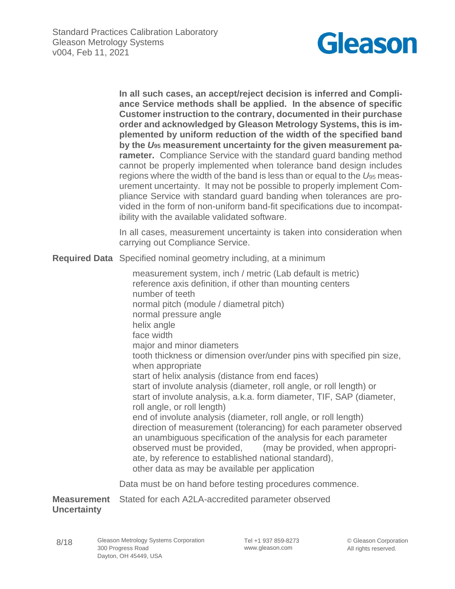

**In all such cases, an accept/reject decision is inferred and Compliance Service methods shall be applied. In the absence of specific Customer instruction to the contrary, documented in their purchase order and acknowledged by Gleason Metrology Systems, this is implemented by uniform reduction of the width of the specified band by the** *U***<sup>95</sup> measurement uncertainty for the given measurement parameter.** Compliance Service with the standard guard banding method cannot be properly implemented when tolerance band design includes regions where the width of the band is less than or equal to the *U*<sup>95</sup> measurement uncertainty. It may not be possible to properly implement Compliance Service with standard guard banding when tolerances are provided in the form of non-uniform band-fit specifications due to incompatibility with the available validated software.

In all cases, measurement uncertainty is taken into consideration when carrying out Compliance Service.

**Required Data** Specified nominal geometry including, at a minimum

measurement system, inch / metric (Lab default is metric) reference axis definition, if other than mounting centers number of teeth normal pitch (module / diametral pitch) normal pressure angle helix angle face width major and minor diameters tooth thickness or dimension over/under pins with specified pin size, when appropriate start of helix analysis (distance from end faces) start of involute analysis (diameter, roll angle, or roll length) or start of involute analysis, a.k.a. form diameter, TIF, SAP (diameter, roll angle, or roll length) end of involute analysis (diameter, roll angle, or roll length) direction of measurement (tolerancing) for each parameter observed an unambiguous specification of the analysis for each parameter observed must be provided, (may be provided, when appropriate, by reference to established national standard), other data as may be available per application

Data must be on hand before testing procedures commence.

**Measurement** Stated for each A2LA-accredited parameter observed **Uncertainty**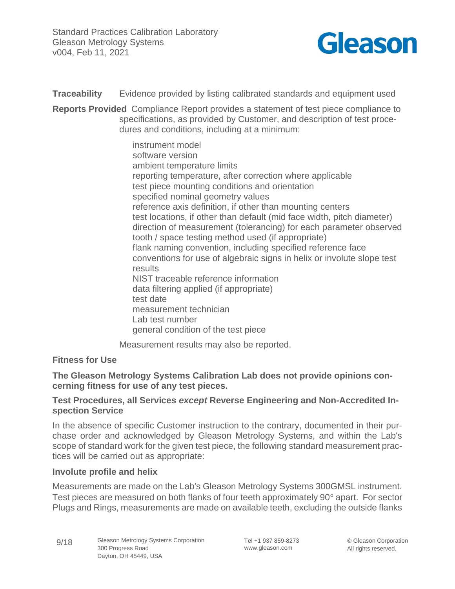

**Traceability** Evidence provided by listing calibrated standards and equipment used

**Reports Provided** Compliance Report provides a statement of test piece compliance to specifications, as provided by Customer, and description of test procedures and conditions, including at a minimum:

> instrument model software version ambient temperature limits reporting temperature, after correction where applicable test piece mounting conditions and orientation specified nominal geometry values reference axis definition, if other than mounting centers test locations, if other than default (mid face width, pitch diameter) direction of measurement (tolerancing) for each parameter observed tooth / space testing method used (if appropriate) flank naming convention, including specified reference face conventions for use of algebraic signs in helix or involute slope test results NIST traceable reference information data filtering applied (if appropriate) test date measurement technician Lab test number general condition of the test piece

Measurement results may also be reported.

### **Fitness for Use**

## **The Gleason Metrology Systems Calibration Lab does not provide opinions concerning fitness for use of any test pieces.**

### **Test Procedures, all Services** *except* **Reverse Engineering and Non-Accredited Inspection Service**

In the absence of specific Customer instruction to the contrary, documented in their purchase order and acknowledged by Gleason Metrology Systems, and within the Lab's scope of standard work for the given test piece, the following standard measurement practices will be carried out as appropriate:

### **Involute profile and helix**

Measurements are made on the Lab's Gleason Metrology Systems 300GMSL instrument. Test pieces are measured on both flanks of four teeth approximately 90° apart. For sector Plugs and Rings, measurements are made on available teeth, excluding the outside flanks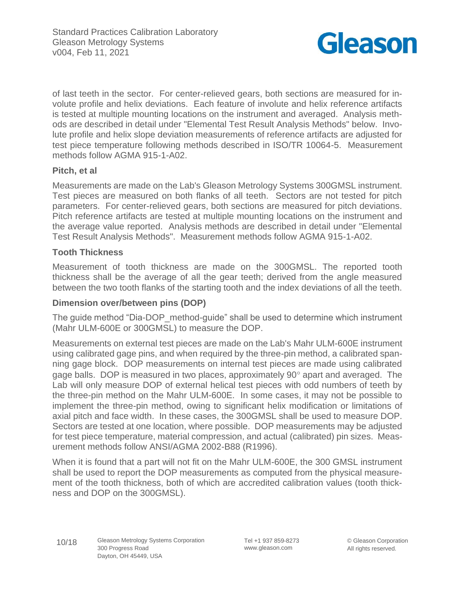

of last teeth in the sector. For center-relieved gears, both sections are measured for involute profile and helix deviations. Each feature of involute and helix reference artifacts is tested at multiple mounting locations on the instrument and averaged. Analysis methods are described in detail under "Elemental Test Result Analysis Methods" below. Involute profile and helix slope deviation measurements of reference artifacts are adjusted for test piece temperature following methods described in ISO/TR 10064-5. Measurement methods follow AGMA 915-1-A02.

## **Pitch, et al**

Measurements are made on the Lab's Gleason Metrology Systems 300GMSL instrument. Test pieces are measured on both flanks of all teeth. Sectors are not tested for pitch parameters. For center-relieved gears, both sections are measured for pitch deviations. Pitch reference artifacts are tested at multiple mounting locations on the instrument and the average value reported. Analysis methods are described in detail under "Elemental Test Result Analysis Methods". Measurement methods follow AGMA 915-1-A02.

## **Tooth Thickness**

Measurement of tooth thickness are made on the 300GMSL. The reported tooth thickness shall be the average of all the gear teeth; derived from the angle measured between the two tooth flanks of the starting tooth and the index deviations of all the teeth.

## **Dimension over/between pins (DOP)**

The guide method "Dia-DOP\_method-guide" shall be used to determine which instrument (Mahr ULM-600E or 300GMSL) to measure the DOP.

Measurements on external test pieces are made on the Lab's Mahr ULM-600E instrument using calibrated gage pins, and when required by the three-pin method, a calibrated spanning gage block. DOP measurements on internal test pieces are made using calibrated gage balls. DOP is measured in two places, approximately 90° apart and averaged. The Lab will only measure DOP of external helical test pieces with odd numbers of teeth by the three-pin method on the Mahr ULM-600E. In some cases, it may not be possible to implement the three-pin method, owing to significant helix modification or limitations of axial pitch and face width. In these cases, the 300GMSL shall be used to measure DOP. Sectors are tested at one location, where possible. DOP measurements may be adjusted for test piece temperature, material compression, and actual (calibrated) pin sizes. Measurement methods follow ANSI/AGMA 2002-B88 (R1996).

When it is found that a part will not fit on the Mahr ULM-600E, the 300 GMSL instrument shall be used to report the DOP measurements as computed from the physical measurement of the tooth thickness, both of which are accredited calibration values (tooth thickness and DOP on the 300GMSL).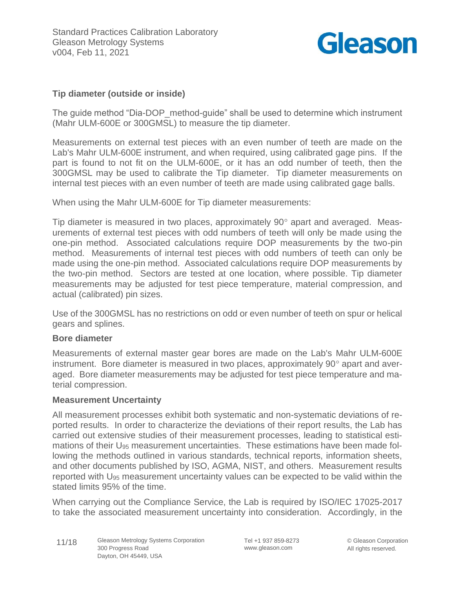

## **Tip diameter (outside or inside)**

The guide method "Dia-DOP method-guide" shall be used to determine which instrument (Mahr ULM-600E or 300GMSL) to measure the tip diameter.

Measurements on external test pieces with an even number of teeth are made on the Lab's Mahr ULM-600E instrument, and when required, using calibrated gage pins. If the part is found to not fit on the ULM-600E, or it has an odd number of teeth, then the 300GMSL may be used to calibrate the Tip diameter. Tip diameter measurements on internal test pieces with an even number of teeth are made using calibrated gage balls.

When using the Mahr ULM-600E for Tip diameter measurements:

Tip diameter is measured in two places, approximately  $90^\circ$  apart and averaged. Measurements of external test pieces with odd numbers of teeth will only be made using the one-pin method. Associated calculations require DOP measurements by the two-pin method. Measurements of internal test pieces with odd numbers of teeth can only be made using the one-pin method. Associated calculations require DOP measurements by the two-pin method. Sectors are tested at one location, where possible. Tip diameter measurements may be adjusted for test piece temperature, material compression, and actual (calibrated) pin sizes.

Use of the 300GMSL has no restrictions on odd or even number of teeth on spur or helical gears and splines.

#### **Bore diameter**

Measurements of external master gear bores are made on the Lab's Mahr ULM-600E instrument. Bore diameter is measured in two places, approximately  $90^{\circ}$  apart and averaged. Bore diameter measurements may be adjusted for test piece temperature and material compression.

#### **Measurement Uncertainty**

All measurement processes exhibit both systematic and non-systematic deviations of reported results. In order to characterize the deviations of their report results, the Lab has carried out extensive studies of their measurement processes, leading to statistical estimations of their U<sup>95</sup> measurement uncertainties. These estimations have been made following the methods outlined in various standards, technical reports, information sheets, and other documents published by ISO, AGMA, NIST, and others. Measurement results reported with U<sup>95</sup> measurement uncertainty values can be expected to be valid within the stated limits 95% of the time.

When carrying out the Compliance Service, the Lab is required by ISO/IEC 17025-2017 to take the associated measurement uncertainty into consideration. Accordingly, in the

Tel +1 937 859-8273 www.gleason.com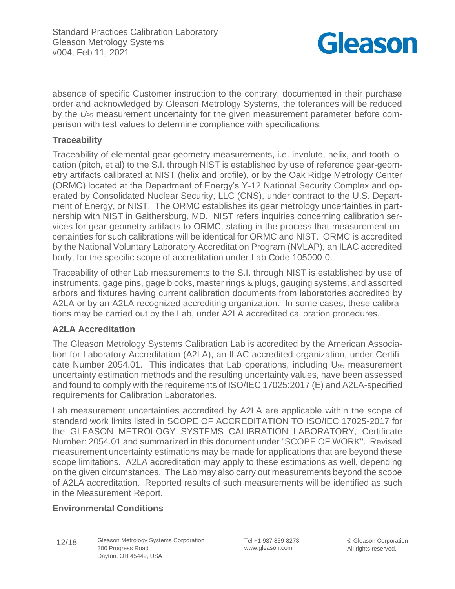

absence of specific Customer instruction to the contrary, documented in their purchase order and acknowledged by Gleason Metrology Systems, the tolerances will be reduced by the *U*<sup>95</sup> measurement uncertainty for the given measurement parameter before comparison with test values to determine compliance with specifications.

## **Traceability**

Traceability of elemental gear geometry measurements, i.e. involute, helix, and tooth location (pitch, et al) to the S.I. through NIST is established by use of reference gear-geometry artifacts calibrated at NIST (helix and profile), or by the Oak Ridge Metrology Center (ORMC) located at the Department of Energy's Y-12 National Security Complex and operated by Consolidated Nuclear Security, LLC (CNS), under contract to the U.S. Department of Energy, or NIST. The ORMC establishes its gear metrology uncertainties in partnership with NIST in Gaithersburg, MD. NIST refers inquiries concerning calibration services for gear geometry artifacts to ORMC, stating in the process that measurement uncertainties for such calibrations will be identical for ORMC and NIST. ORMC is accredited by the National Voluntary Laboratory Accreditation Program (NVLAP), an ILAC accredited body, for the specific scope of accreditation under Lab Code 105000-0.

Traceability of other Lab measurements to the S.I. through NIST is established by use of instruments, gage pins, gage blocks, master rings & plugs, gauging systems, and assorted arbors and fixtures having current calibration documents from laboratories accredited by A2LA or by an A2LA recognized accrediting organization. In some cases, these calibrations may be carried out by the Lab, under A2LA accredited calibration procedures.

## **A2LA Accreditation**

The Gleason Metrology Systems Calibration Lab is accredited by the American Association for Laboratory Accreditation (A2LA), an ILAC accredited organization, under Certificate Number 2054.01. This indicates that Lab operations, including U<sup>95</sup> measurement uncertainty estimation methods and the resulting uncertainty values, have been assessed and found to comply with the requirements of ISO/IEC 17025:2017 (E) and A2LA-specified requirements for Calibration Laboratories.

Lab measurement uncertainties accredited by A2LA are applicable within the scope of standard work limits listed in SCOPE OF ACCREDITATION TO ISO/IEC 17025-2017 for the GLEASON METROLOGY SYSTEMS CALIBRATION LABORATORY, Certificate Number: 2054.01 and summarized in this document under "SCOPE OF WORK". Revised measurement uncertainty estimations may be made for applications that are beyond these scope limitations. A2LA accreditation may apply to these estimations as well, depending on the given circumstances. The Lab may also carry out measurements beyond the scope of A2LA accreditation. Reported results of such measurements will be identified as such in the Measurement Report.

# **Environmental Conditions**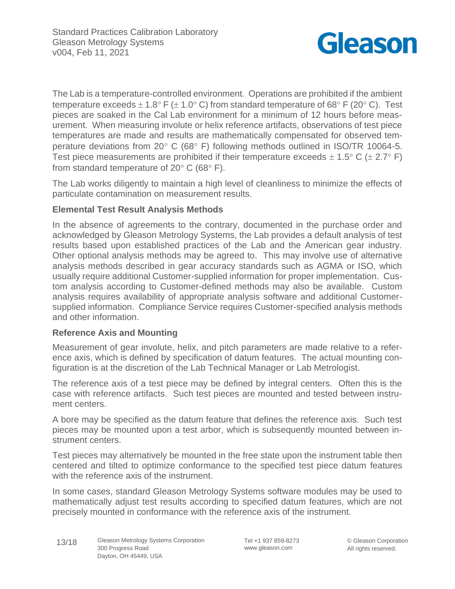

The Lab is a temperature-controlled environment. Operations are prohibited if the ambient temperature exceeds  $\pm$  1.8° F ( $\pm$  1.0° C) from standard temperature of 68° F (20° C). Test pieces are soaked in the Cal Lab environment for a minimum of 12 hours before measurement. When measuring involute or helix reference artifacts, observations of test piece temperatures are made and results are mathematically compensated for observed temperature deviations from 20 $^{\circ}$  C (68 $^{\circ}$  F) following methods outlined in ISO/TR 10064-5. Test piece measurements are prohibited if their temperature exceeds  $\pm$  1.5° C ( $\pm$  2.7° F) from standard temperature of  $20^{\circ}$  C (68 $^{\circ}$  F).

The Lab works diligently to maintain a high level of cleanliness to minimize the effects of particulate contamination on measurement results.

## **Elemental Test Result Analysis Methods**

In the absence of agreements to the contrary, documented in the purchase order and acknowledged by Gleason Metrology Systems, the Lab provides a default analysis of test results based upon established practices of the Lab and the American gear industry. Other optional analysis methods may be agreed to. This may involve use of alternative analysis methods described in gear accuracy standards such as AGMA or ISO, which usually require additional Customer-supplied information for proper implementation. Custom analysis according to Customer-defined methods may also be available. Custom analysis requires availability of appropriate analysis software and additional Customersupplied information. Compliance Service requires Customer-specified analysis methods and other information.

## **Reference Axis and Mounting**

Measurement of gear involute, helix, and pitch parameters are made relative to a reference axis, which is defined by specification of datum features. The actual mounting configuration is at the discretion of the Lab Technical Manager or Lab Metrologist.

The reference axis of a test piece may be defined by integral centers. Often this is the case with reference artifacts. Such test pieces are mounted and tested between instrument centers.

A bore may be specified as the datum feature that defines the reference axis. Such test pieces may be mounted upon a test arbor, which is subsequently mounted between instrument centers.

Test pieces may alternatively be mounted in the free state upon the instrument table then centered and tilted to optimize conformance to the specified test piece datum features with the reference axis of the instrument.

In some cases, standard Gleason Metrology Systems software modules may be used to mathematically adjust test results according to specified datum features, which are not precisely mounted in conformance with the reference axis of the instrument.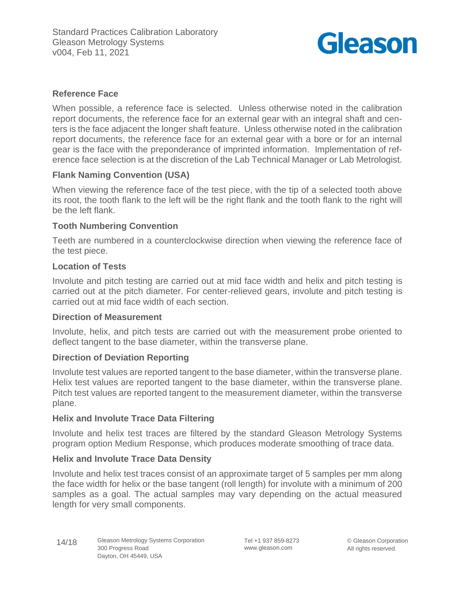

## **Reference Face**

When possible, a reference face is selected. Unless otherwise noted in the calibration report documents, the reference face for an external gear with an integral shaft and centers is the face adjacent the longer shaft feature. Unless otherwise noted in the calibration report documents, the reference face for an external gear with a bore or for an internal gear is the face with the preponderance of imprinted information. Implementation of reference face selection is at the discretion of the Lab Technical Manager or Lab Metrologist.

## **Flank Naming Convention (USA)**

When viewing the reference face of the test piece, with the tip of a selected tooth above its root, the tooth flank to the left will be the right flank and the tooth flank to the right will be the left flank.

### **Tooth Numbering Convention**

Teeth are numbered in a counterclockwise direction when viewing the reference face of the test piece.

### **Location of Tests**

Involute and pitch testing are carried out at mid face width and helix and pitch testing is carried out at the pitch diameter. For center-relieved gears, involute and pitch testing is carried out at mid face width of each section.

## **Direction of Measurement**

Involute, helix, and pitch tests are carried out with the measurement probe oriented to deflect tangent to the base diameter, within the transverse plane.

### **Direction of Deviation Reporting**

Involute test values are reported tangent to the base diameter, within the transverse plane. Helix test values are reported tangent to the base diameter, within the transverse plane. Pitch test values are reported tangent to the measurement diameter, within the transverse plane.

### **Helix and Involute Trace Data Filtering**

Involute and helix test traces are filtered by the standard Gleason Metrology Systems program option Medium Response, which produces moderate smoothing of trace data.

### **Helix and Involute Trace Data Density**

Involute and helix test traces consist of an approximate target of 5 samples per mm along the face width for helix or the base tangent (roll length) for involute with a minimum of 200 samples as a goal. The actual samples may vary depending on the actual measured length for very small components.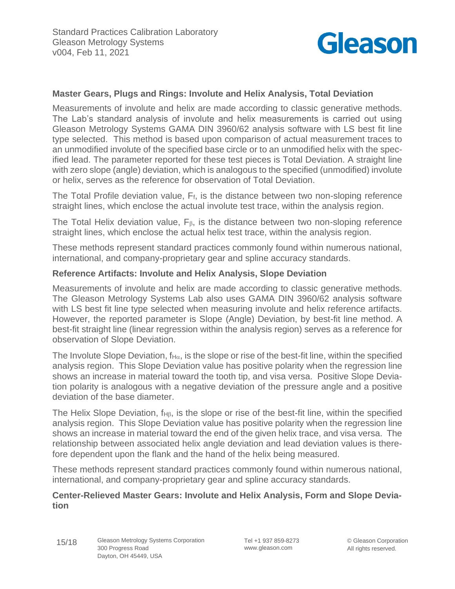

## **Master Gears, Plugs and Rings: Involute and Helix Analysis, Total Deviation**

Measurements of involute and helix are made according to classic generative methods. The Lab's standard analysis of involute and helix measurements is carried out using Gleason Metrology Systems GAMA DIN 3960/62 analysis software with LS best fit line type selected. This method is based upon comparison of actual measurement traces to an unmodified involute of the specified base circle or to an unmodified helix with the specified lead. The parameter reported for these test pieces is Total Deviation. A straight line with zero slope (angle) deviation, which is analogous to the specified (unmodified) involute or helix, serves as the reference for observation of Total Deviation.

The Total Profile deviation value, Ff, is the distance between two non-sloping reference straight lines, which enclose the actual involute test trace, within the analysis region.

The Total Helix deviation value,  $F_{\beta}$ , is the distance between two non-sloping reference straight lines, which enclose the actual helix test trace, within the analysis region.

These methods represent standard practices commonly found within numerous national, international, and company-proprietary gear and spline accuracy standards.

#### **Reference Artifacts: Involute and Helix Analysis, Slope Deviation**

Measurements of involute and helix are made according to classic generative methods. The Gleason Metrology Systems Lab also uses GAMA DIN 3960/62 analysis software with LS best fit line type selected when measuring involute and helix reference artifacts. However, the reported parameter is Slope (Angle) Deviation, by best-fit line method. A best-fit straight line (linear regression within the analysis region) serves as a reference for observation of Slope Deviation.

The Involute Slope Deviation,  $f_{H\alpha}$ , is the slope or rise of the best-fit line, within the specified analysis region. This Slope Deviation value has positive polarity when the regression line shows an increase in material toward the tooth tip, and visa versa. Positive Slope Deviation polarity is analogous with a negative deviation of the pressure angle and a positive deviation of the base diameter.

The Helix Slope Deviation,  $f_{H\beta}$ , is the slope or rise of the best-fit line, within the specified analysis region. This Slope Deviation value has positive polarity when the regression line shows an increase in material toward the end of the given helix trace, and visa versa. The relationship between associated helix angle deviation and lead deviation values is therefore dependent upon the flank and the hand of the helix being measured.

These methods represent standard practices commonly found within numerous national, international, and company-proprietary gear and spline accuracy standards.

### **Center-Relieved Master Gears: Involute and Helix Analysis, Form and Slope Deviation**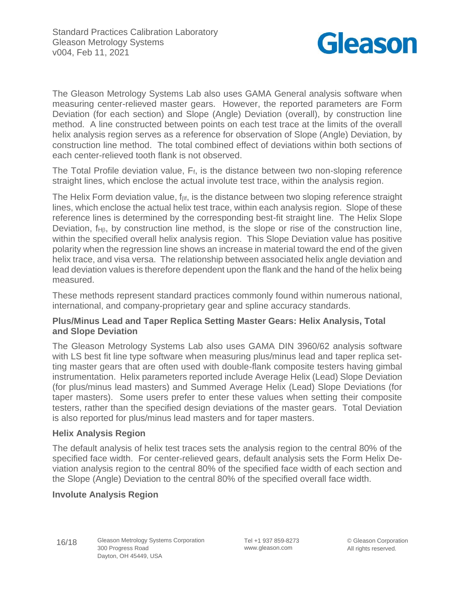

The Gleason Metrology Systems Lab also uses GAMA General analysis software when measuring center-relieved master gears. However, the reported parameters are Form Deviation (for each section) and Slope (Angle) Deviation (overall), by construction line method. A line constructed between points on each test trace at the limits of the overall helix analysis region serves as a reference for observation of Slope (Angle) Deviation, by construction line method. The total combined effect of deviations within both sections of each center-relieved tooth flank is not observed.

The Total Profile deviation value, Ff, is the distance between two non-sloping reference straight lines, which enclose the actual involute test trace, within the analysis region.

The Helix Form deviation value,  $f_{\beta f}$ , is the distance between two sloping reference straight lines, which enclose the actual helix test trace, within each analysis region. Slope of these reference lines is determined by the corresponding best-fit straight line. The Helix Slope Deviation,  $f_{H\beta}$ , by construction line method, is the slope or rise of the construction line, within the specified overall helix analysis region. This Slope Deviation value has positive polarity when the regression line shows an increase in material toward the end of the given helix trace, and visa versa. The relationship between associated helix angle deviation and lead deviation values is therefore dependent upon the flank and the hand of the helix being measured.

These methods represent standard practices commonly found within numerous national, international, and company-proprietary gear and spline accuracy standards.

## **Plus/Minus Lead and Taper Replica Setting Master Gears: Helix Analysis, Total and Slope Deviation**

The Gleason Metrology Systems Lab also uses GAMA DIN 3960/62 analysis software with LS best fit line type software when measuring plus/minus lead and taper replica setting master gears that are often used with double-flank composite testers having gimbal instrumentation. Helix parameters reported include Average Helix (Lead) Slope Deviation (for plus/minus lead masters) and Summed Average Helix (Lead) Slope Deviations (for taper masters). Some users prefer to enter these values when setting their composite testers, rather than the specified design deviations of the master gears. Total Deviation is also reported for plus/minus lead masters and for taper masters.

## **Helix Analysis Region**

The default analysis of helix test traces sets the analysis region to the central 80% of the specified face width. For center-relieved gears, default analysis sets the Form Helix Deviation analysis region to the central 80% of the specified face width of each section and the Slope (Angle) Deviation to the central 80% of the specified overall face width.

## **Involute Analysis Region**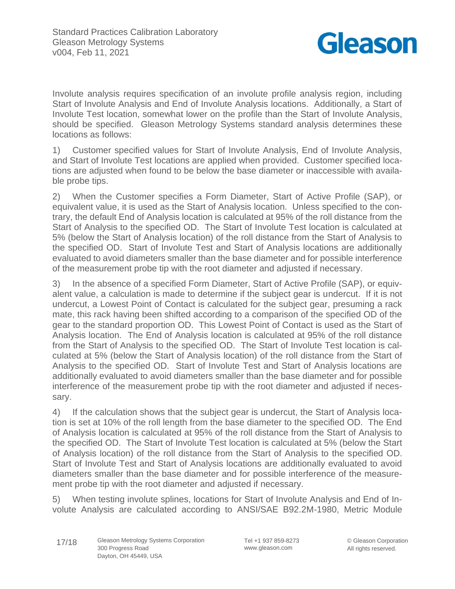

Involute analysis requires specification of an involute profile analysis region, including Start of Involute Analysis and End of Involute Analysis locations. Additionally, a Start of Involute Test location, somewhat lower on the profile than the Start of Involute Analysis, should be specified. Gleason Metrology Systems standard analysis determines these locations as follows:

1) Customer specified values for Start of Involute Analysis, End of Involute Analysis, and Start of Involute Test locations are applied when provided. Customer specified locations are adjusted when found to be below the base diameter or inaccessible with available probe tips.

2) When the Customer specifies a Form Diameter, Start of Active Profile (SAP), or equivalent value, it is used as the Start of Analysis location. Unless specified to the contrary, the default End of Analysis location is calculated at 95% of the roll distance from the Start of Analysis to the specified OD. The Start of Involute Test location is calculated at 5% (below the Start of Analysis location) of the roll distance from the Start of Analysis to the specified OD. Start of Involute Test and Start of Analysis locations are additionally evaluated to avoid diameters smaller than the base diameter and for possible interference of the measurement probe tip with the root diameter and adjusted if necessary.

3) In the absence of a specified Form Diameter, Start of Active Profile (SAP), or equivalent value, a calculation is made to determine if the subject gear is undercut. If it is not undercut, a Lowest Point of Contact is calculated for the subject gear, presuming a rack mate, this rack having been shifted according to a comparison of the specified OD of the gear to the standard proportion OD. This Lowest Point of Contact is used as the Start of Analysis location. The End of Analysis location is calculated at 95% of the roll distance from the Start of Analysis to the specified OD. The Start of Involute Test location is calculated at 5% (below the Start of Analysis location) of the roll distance from the Start of Analysis to the specified OD. Start of Involute Test and Start of Analysis locations are additionally evaluated to avoid diameters smaller than the base diameter and for possible interference of the measurement probe tip with the root diameter and adjusted if necessary.

4) If the calculation shows that the subject gear is undercut, the Start of Analysis location is set at 10% of the roll length from the base diameter to the specified OD. The End of Analysis location is calculated at 95% of the roll distance from the Start of Analysis to the specified OD. The Start of Involute Test location is calculated at 5% (below the Start of Analysis location) of the roll distance from the Start of Analysis to the specified OD. Start of Involute Test and Start of Analysis locations are additionally evaluated to avoid diameters smaller than the base diameter and for possible interference of the measurement probe tip with the root diameter and adjusted if necessary.

5) When testing involute splines, locations for Start of Involute Analysis and End of Involute Analysis are calculated according to ANSI/SAE B92.2M-1980, Metric Module